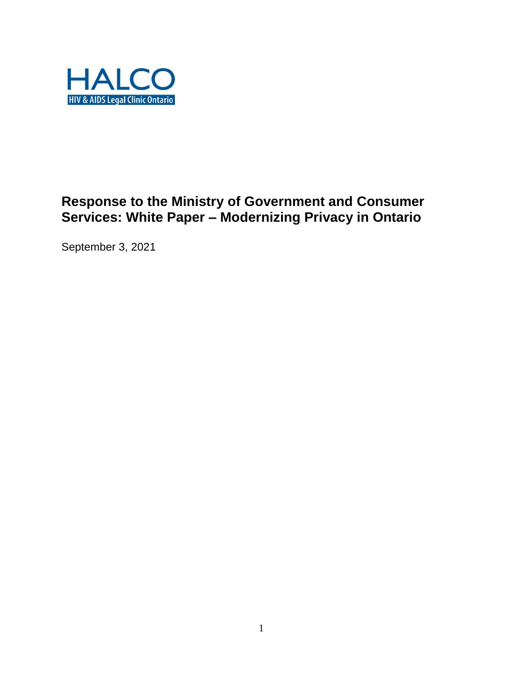

# **Response to the Ministry of Government and Consumer Services: White Paper – Modernizing Privacy in Ontario**

September 3, 2021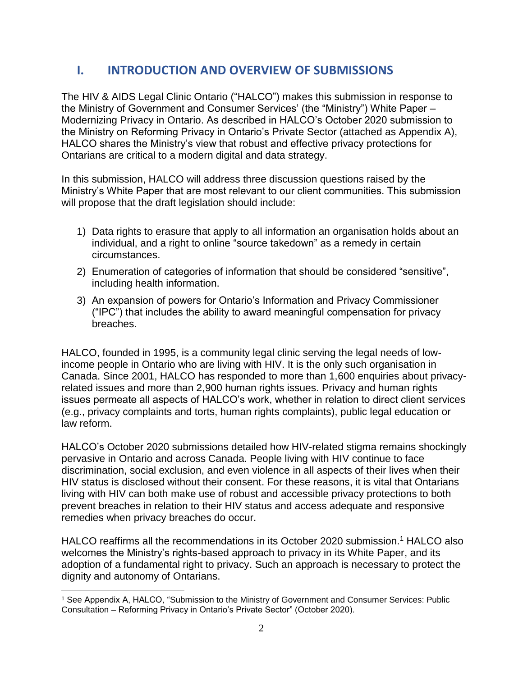## **I. INTRODUCTION AND OVERVIEW OF SUBMISSIONS**

The HIV & AIDS Legal Clinic Ontario ("HALCO") makes this submission in response to the Ministry of Government and Consumer Services' (the "Ministry") White Paper – Modernizing Privacy in Ontario. As described in HALCO's October 2020 submission to the Ministry on Reforming Privacy in Ontario's Private Sector (attached as Appendix A), HALCO shares the Ministry's view that robust and effective privacy protections for Ontarians are critical to a modern digital and data strategy.

In this submission, HALCO will address three discussion questions raised by the Ministry's White Paper that are most relevant to our client communities. This submission will propose that the draft legislation should include:

- 1) Data rights to erasure that apply to all information an organisation holds about an individual, and a right to online "source takedown" as a remedy in certain circumstances.
- 2) Enumeration of categories of information that should be considered "sensitive", including health information.
- 3) An expansion of powers for Ontario's Information and Privacy Commissioner ("IPC") that includes the ability to award meaningful compensation for privacy breaches.

HALCO, founded in 1995, is a community legal clinic serving the legal needs of lowincome people in Ontario who are living with HIV. It is the only such organisation in Canada. Since 2001, HALCO has responded to more than 1,600 enquiries about privacyrelated issues and more than 2,900 human rights issues. Privacy and human rights issues permeate all aspects of HALCO's work, whether in relation to direct client services (e.g., privacy complaints and torts, human rights complaints), public legal education or law reform.

HALCO's October 2020 submissions detailed how HIV-related stigma remains shockingly pervasive in Ontario and across Canada. People living with HIV continue to face discrimination, social exclusion, and even violence in all aspects of their lives when their HIV status is disclosed without their consent. For these reasons, it is vital that Ontarians living with HIV can both make use of robust and accessible privacy protections to both prevent breaches in relation to their HIV status and access adequate and responsive remedies when privacy breaches do occur.

HALCO reaffirms all the recommendations in its October 2020 submission. <sup>1</sup> HALCO also welcomes the Ministry's rights-based approach to privacy in its White Paper, and its adoption of a fundamental right to privacy. Such an approach is necessary to protect the dignity and autonomy of Ontarians.

 $\overline{a}$ 

<sup>1</sup> See Appendix A, HALCO, "Submission to the Ministry of Government and Consumer Services: Public Consultation – Reforming Privacy in Ontario's Private Sector" (October 2020).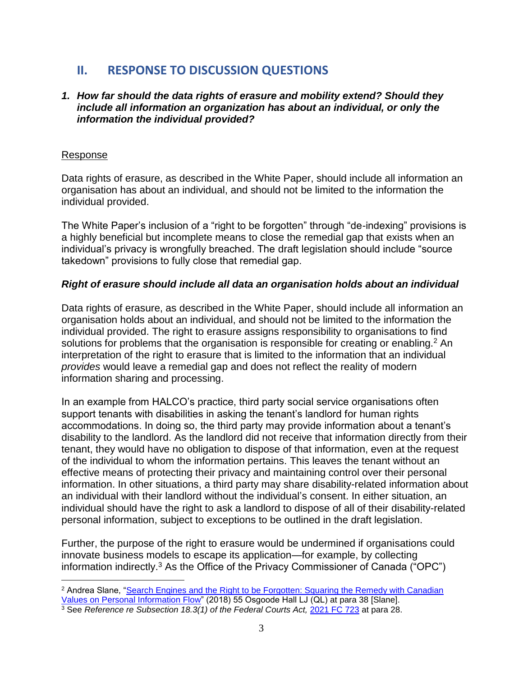## **II. RESPONSE TO DISCUSSION QUESTIONS**

#### *1. How far should the data rights of erasure and mobility extend? Should they include all information an organization has about an individual, or only the information the individual provided?*

#### Response

 $\overline{a}$ 

Data rights of erasure, as described in the White Paper, should include all information an organisation has about an individual, and should not be limited to the information the individual provided.

The White Paper's inclusion of a "right to be forgotten" through "de-indexing" provisions is a highly beneficial but incomplete means to close the remedial gap that exists when an individual's privacy is wrongfully breached. The draft legislation should include "source takedown" provisions to fully close that remedial gap.

#### *Right of erasure should include all data an organisation holds about an individual*

Data rights of erasure, as described in the White Paper, should include all information an organisation holds about an individual, and should not be limited to the information the individual provided. The right to erasure assigns responsibility to organisations to find solutions for problems that the organisation is responsible for creating or enabling.<sup>2</sup> An interpretation of the right to erasure that is limited to the information that an individual *provides* would leave a remedial gap and does not reflect the reality of modern information sharing and processing.

In an example from HALCO's practice, third party social service organisations often support tenants with disabilities in asking the tenant's landlord for human rights accommodations. In doing so, the third party may provide information about a tenant's disability to the landlord. As the landlord did not receive that information directly from their tenant, they would have no obligation to dispose of that information, even at the request of the individual to whom the information pertains. This leaves the tenant without an effective means of protecting their privacy and maintaining control over their personal information. In other situations, a third party may share disability-related information about an individual with their landlord without the individual's consent. In either situation, an individual should have the right to ask a landlord to dispose of all of their disability-related personal information, subject to exceptions to be outlined in the draft legislation.

Further, the purpose of the right to erasure would be undermined if organisations could innovate business models to escape its application—for example, by collecting information indirectly.<sup>3</sup> As the Office of the Privacy Commissioner of Canada ("OPC")

<sup>&</sup>lt;sup>2</sup> Andrea Slane, "Search Engines and the Right to be Forgotten: Squaring the Remedy with Canadian [Values on Personal Information Flow"](https://advance.lexis.com/api/permalink/d365c237-ef99-4811-831a-0ca40851d0d5/?context=1505209) (2018) 55 Osgoode Hall LJ (QL) at para 38 [Slane].

<sup>&</sup>lt;sup>3</sup> See *Reference re Subsection 18.3(1) of the Federal Courts Act, [2021 FC 723](https://canlii.ca/t/jgw0s)* at para 28.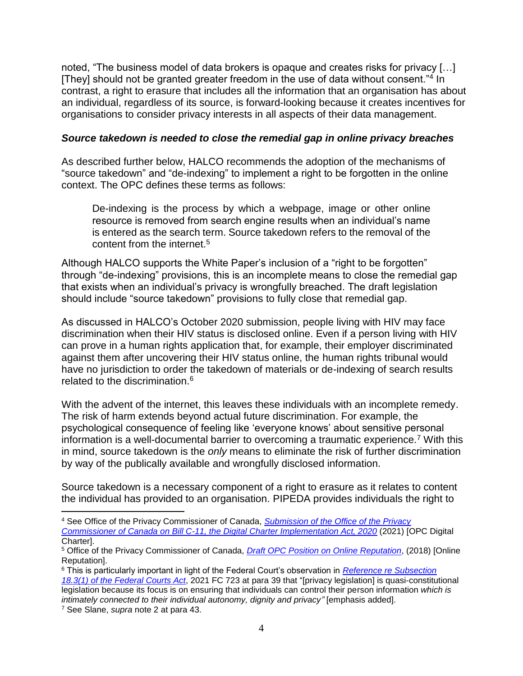noted, "The business model of data brokers is opaque and creates risks for privacy […] [They] should not be granted greater freedom in the use of data without consent."<sup>4</sup> In contrast, a right to erasure that includes all the information that an organisation has about an individual, regardless of its source, is forward-looking because it creates incentives for organisations to consider privacy interests in all aspects of their data management.

#### *Source takedown is needed to close the remedial gap in online privacy breaches*

As described further below, HALCO recommends the adoption of the mechanisms of "source takedown" and "de-indexing" to implement a right to be forgotten in the online context. The OPC defines these terms as follows:

De-indexing is the process by which a webpage, image or other online resource is removed from search engine results when an individual's name is entered as the search term. Source takedown refers to the removal of the content from the internet.<sup>5</sup>

Although HALCO supports the White Paper's inclusion of a "right to be forgotten" through "de-indexing" provisions, this is an incomplete means to close the remedial gap that exists when an individual's privacy is wrongfully breached. The draft legislation should include "source takedown" provisions to fully close that remedial gap.

As discussed in HALCO's October 2020 submission, people living with HIV may face discrimination when their HIV status is disclosed online. Even if a person living with HIV can prove in a human rights application that, for example, their employer discriminated against them after uncovering their HIV status online, the human rights tribunal would have no jurisdiction to order the takedown of materials or de-indexing of search results related to the discrimination.<sup>6</sup>

With the advent of the internet, this leaves these individuals with an incomplete remedy. The risk of harm extends beyond actual future discrimination. For example, the psychological consequence of feeling like 'everyone knows' about sensitive personal information is a well-documental barrier to overcoming a traumatic experience.<sup>7</sup> With this in mind, source takedown is the *only* means to eliminate the risk of further discrimination by way of the publically available and wrongfully disclosed information.

Source takedown is a necessary component of a right to erasure as it relates to content the individual has provided to an organisation. PIPEDA provides individuals the right to

 $\overline{a}$ <sup>4</sup> See Office of the Privacy Commissioner of Canada, *[Submission of the Office of the Privacy](https://www.priv.gc.ca/en/opc-actions-and-decisions/submissions-to-consultations/sub_ethi_c11_2105/)  [Commissioner of Canada on Bill C-11, the Digital Charter Implementation Act, 2020](https://www.priv.gc.ca/en/opc-actions-and-decisions/submissions-to-consultations/sub_ethi_c11_2105/)* (2021) [OPC Digital Charter].

<sup>5</sup> Office of the Privacy Commissioner of Canada, *[Draft OPC Position on Online Reputation](https://www.priv.gc.ca/en/about-the-opc/what-we-do/consultations/completed-consultations/consultation-on-online-reputation/pos_or_201801/)*, (2018) [Online Reputation].

<sup>6</sup> This is particularly important in light of the Federal Court's observation in *[Reference re Subsection](https://canlii.ca/t/jgw0s)  [18.3\(1\) of the Federal Courts Act](https://canlii.ca/t/jgw0s)*, 2021 FC 723 at para 39 that "[privacy legislation] is quasi-constitutional legislation because its focus is on ensuring that individuals can control their person information *which is intimately connected to their individual autonomy, dignity and privacy"* [emphasis added].

<sup>7</sup> See Slane, *supra* note 2 at para 43.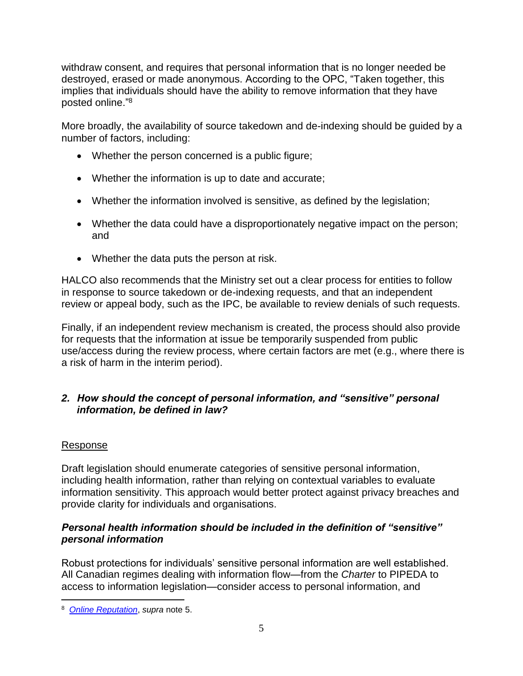withdraw consent, and requires that personal information that is no longer needed be destroyed, erased or made anonymous. According to the OPC, "Taken together, this implies that individuals should have the ability to remove information that they have posted online."<sup>8</sup>

More broadly, the availability of source takedown and de-indexing should be guided by a number of factors, including:

- Whether the person concerned is a public figure;
- Whether the information is up to date and accurate;
- Whether the information involved is sensitive, as defined by the legislation;
- Whether the data could have a disproportionately negative impact on the person; and
- Whether the data puts the person at risk.

HALCO also recommends that the Ministry set out a clear process for entities to follow in response to source takedown or de-indexing requests, and that an independent review or appeal body, such as the IPC, be available to review denials of such requests.

Finally, if an independent review mechanism is created, the process should also provide for requests that the information at issue be temporarily suspended from public use/access during the review process, where certain factors are met (e.g., where there is a risk of harm in the interim period).

## *2. How should the concept of personal information, and "sensitive" personal information, be defined in law?*

## Response

 $\overline{a}$ 

Draft legislation should enumerate categories of sensitive personal information, including health information, rather than relying on contextual variables to evaluate information sensitivity. This approach would better protect against privacy breaches and provide clarity for individuals and organisations.

## *Personal health information should be included in the definition of "sensitive" personal information*

Robust protections for individuals' sensitive personal information are well established. All Canadian regimes dealing with information flow—from the *Charter* to PIPEDA to access to information legislation—consider access to personal information, and

<sup>8</sup> *[Online Reputation](https://www.priv.gc.ca/en/about-the-opc/what-we-do/consultations/completed-consultations/consultation-on-online-reputation/pos_or_201801/)*, *supra* note 5.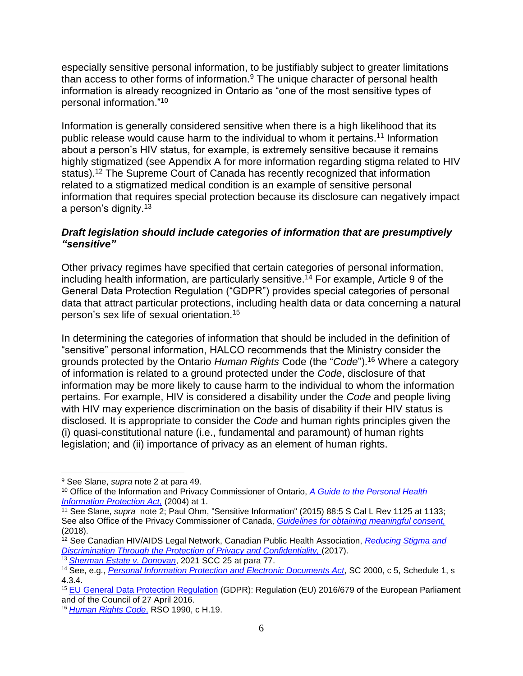especially sensitive personal information, to be justifiably subject to greater limitations than access to other forms of information.<sup>9</sup> The unique character of personal health information is already recognized in Ontario as "one of the most sensitive types of personal information." 10

Information is generally considered sensitive when there is a high likelihood that its public release would cause harm to the individual to whom it pertains.<sup>11</sup> Information about a person's HIV status, for example, is extremely sensitive because it remains highly stigmatized (see Appendix A for more information regarding stigma related to HIV status).<sup>12</sup> The Supreme Court of Canada has recently recognized that information related to a stigmatized medical condition is an example of sensitive personal information that requires special protection because its disclosure can negatively impact a person's dignity.<sup>13</sup>

### *Draft legislation should include categories of information that are presumptively "sensitive"*

Other privacy regimes have specified that certain categories of personal information, including health information, are particularly sensitive.<sup>14</sup> For example, Article 9 of the General Data Protection Regulation ("GDPR") provides special categories of personal data that attract particular protections, including health data or data concerning a natural person's sex life of sexual orientation.<sup>15</sup>

In determining the categories of information that should be included in the definition of "sensitive" personal information, HALCO recommends that the Ministry consider the grounds protected by the Ontario *Human Rights* Code (the "*Code*").<sup>16</sup> Where a category of information is related to a ground protected under the *Code*, disclosure of that information may be more likely to cause harm to the individual to whom the information pertains*.* For example, HIV is considered a disability under the *Code* and people living with HIV may experience discrimination on the basis of disability if their HIV status is disclosed*.* It is appropriate to consider the *Code* and human rights principles given the (i) quasi-constitutional nature (i.e., fundamental and paramount) of human rights legislation; and (ii) importance of privacy as an element of human rights.

 $\overline{a}$ 

<sup>9</sup> See Slane, *supra* note 2 at para 49.

<sup>10</sup> Office of the Information and Privacy Commissioner of Ontario, *A [Guide to the Personal Health](https://www.ipc.on.ca/wp-content/uploads/Resources/hguide-e.pdf)  [Information Protection Act,](https://www.ipc.on.ca/wp-content/uploads/Resources/hguide-e.pdf)* (2004) at 1.

<sup>11</sup> See Slane, *supra* note 2; Paul Ohm, "Sensitive Information" (2015) 88:5 S Cal L Rev 1125 at 1133; See also Office of the Privacy Commissioner of Canada, *Guidelines for obtaining meaningful consent,* (2018).

<sup>12</sup> See Canadian HIV/AIDS Legal Network, Canadian Public Health Association, *Reducing Stigma and Discrimination Through the Protection of Privacy and Confidentiality,* (2017).

<sup>13</sup> *[Sherman Estate v. Donovan](https://canlii.ca/t/jgc4w)*, 2021 SCC 25 at para 77.

<sup>&</sup>lt;sup>14</sup> See, e.g., *[Personal Information Protection and Electronic Documents Act](https://canlii.ca/t/541b8)*, SC 2000, c 5, Schedule 1, s 4.3.4.

<sup>&</sup>lt;sup>15</sup> [EU General Data Protection Regulation](https://gdpr.eu/tag/chapter-1/) (GDPR): Regulation (EU) 2016/679 of the European Parliament and of the Council of 27 April 2016.

<sup>16</sup> *[Human Rights Code](https://canlii.ca/t/552kw)*, RSO 1990, c H.19.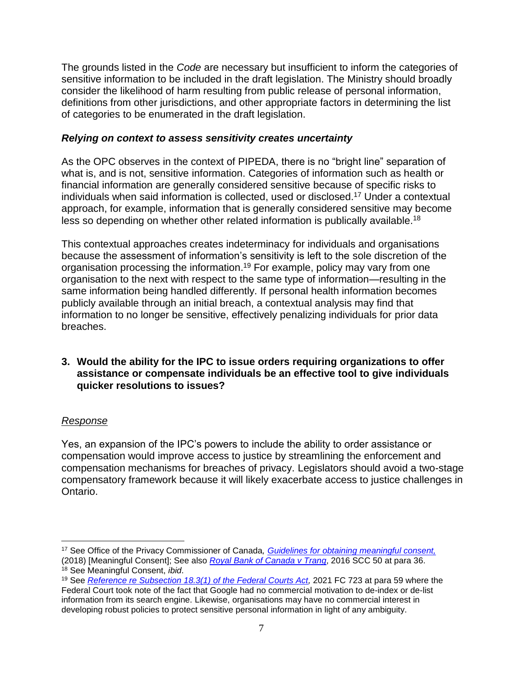The grounds listed in the *Code* are necessary but insufficient to inform the categories of sensitive information to be included in the draft legislation. The Ministry should broadly consider the likelihood of harm resulting from public release of personal information, definitions from other jurisdictions, and other appropriate factors in determining the list of categories to be enumerated in the draft legislation.

### *Relying on context to assess sensitivity creates uncertainty*

As the OPC observes in the context of PIPEDA, there is no "bright line" separation of what is, and is not, sensitive information. Categories of information such as health or financial information are generally considered sensitive because of specific risks to individuals when said information is collected, used or disclosed.<sup>17</sup> Under a contextual approach, for example, information that is generally considered sensitive may become less so depending on whether other related information is publically available.<sup>18</sup>

This contextual approaches creates indeterminacy for individuals and organisations because the assessment of information's sensitivity is left to the sole discretion of the organisation processing the information. <sup>19</sup> For example, policy may vary from one organisation to the next with respect to the same type of information—resulting in the same information being handled differently. If personal health information becomes publicly available through an initial breach, a contextual analysis may find that information to no longer be sensitive, effectively penalizing individuals for prior data breaches.

### **3. Would the ability for the IPC to issue orders requiring organizations to offer assistance or compensate individuals be an effective tool to give individuals quicker resolutions to issues?**

## *Response*

Yes, an expansion of the IPC's powers to include the ability to order assistance or compensation would improve access to justice by streamlining the enforcement and compensation mechanisms for breaches of privacy. Legislators should avoid a two-stage compensatory framework because it will likely exacerbate access to justice challenges in Ontario.

 $\overline{a}$ <sup>17</sup> See Office of the Privacy Commissioner of Canada*, [Guidelines for obtaining meaningful consent,](https://www.priv.gc.ca/en/privacy-topics/collecting-personal-information/consent/gl_omc_201805/)* (2018) [Meaningful Consent]; See also *[Royal Bank of Canada v Trang](https://canlii.ca/t/gvndv)*, 2016 SCC 50 at para 36.

<sup>18</sup> See Meaningful Consent, *ibid*.

<sup>19</sup> See *[Reference re Subsection 18.3\(1\) of the Federal Courts Act,](https://canlii.ca/t/jgw0s)* 2021 FC 723 at para 59 where the Federal Court took note of the fact that Google had no commercial motivation to de-index or de-list information from its search engine. Likewise, organisations may have no commercial interest in developing robust policies to protect sensitive personal information in light of any ambiguity.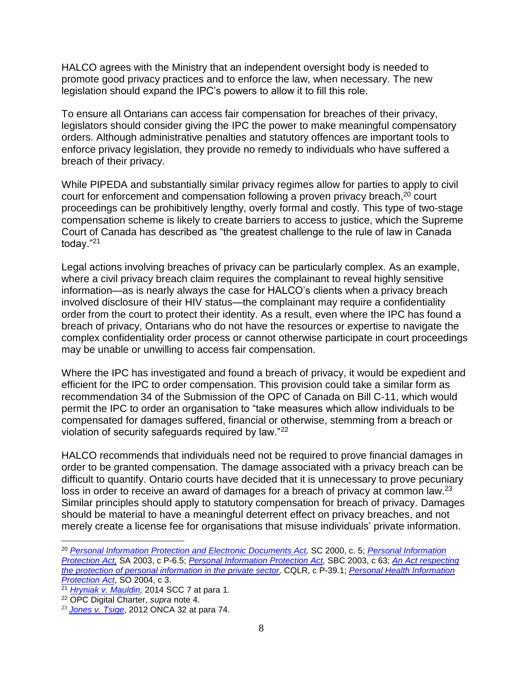HALCO agrees with the Ministry that an independent oversight body is needed to promote good privacy practices and to enforce the law, when necessary. The new legislation should expand the IPC's powers to allow it to fill this role.

To ensure all Ontarians can access fair compensation for breaches of their privacy, legislators should consider giving the IPC the power to make meaningful compensatory orders. Although administrative penalties and statutory offences are important tools to enforce privacy legislation, they provide no remedy to individuals who have suffered a breach of their privacy.

While PIPEDA and substantially similar privacy regimes allow for parties to apply to civil court for enforcement and compensation following a proven privacy breach, <sup>20</sup> court proceedings can be prohibitively lengthy, overly formal and costly. This type of two-stage compensation scheme is likely to create barriers to access to justice, which the Supreme Court of Canada has described as "the greatest challenge to the rule of law in Canada today."<sup>21</sup>

Legal actions involving breaches of privacy can be particularly complex. As an example, where a civil privacy breach claim requires the complainant to reveal highly sensitive information—as is nearly always the case for HALCO's clients when a privacy breach involved disclosure of their HIV status—the complainant may require a confidentiality order from the court to protect their identity. As a result, even where the IPC has found a breach of privacy, Ontarians who do not have the resources or expertise to navigate the complex confidentiality order process or cannot otherwise participate in court proceedings may be unable or unwilling to access fair compensation.

Where the IPC has investigated and found a breach of privacy, it would be expedient and efficient for the IPC to order compensation. This provision could take a similar form as recommendation 34 of the Submission of the OPC of Canada on Bill C-11, which would permit the IPC to order an organisation to "take measures which allow individuals to be compensated for damages suffered, financial or otherwise, stemming from a breach or violation of security safeguards required by law."<sup>22</sup>

HALCO recommends that individuals need not be required to prove financial damages in order to be granted compensation. The damage associated with a privacy breach can be difficult to quantify. Ontario courts have decided that it is unnecessary to prove pecuniary loss in order to receive an award of damages for a breach of privacy at common law.<sup>23</sup> Similar principles should apply to statutory compensation for breach of privacy. Damages should be material to have a meaningful deterrent effect on privacy breaches, and not merely create a license fee for organisations that misuse individuals' private information.

 $\overline{a}$ 

<sup>20</sup> *Personal Information Protection and Electronic [Documents](https://advance.lexis.com/document/documentlink/?pdmfid=1505209&crid=7e77a4b6-3675-4a3f-8d88-8857fe3bd2da&pddocfullpath=%2Fshared%2Fdocument%2Flegislation-ca%2Furn%3AcontentItem%3A5VYK-WB21-F57G-S21X-00000-00&pdcontentcomponentid=280901&pddoctitle=S.C.+2000%2C+c.+5&pdproductcontenttypeid=urn%3Apct%3A229&pdiskwicview=false&ecomp=J388k&prid=a55b1cc8-6740-4219-acdf-56519e9aa2db) Act,* SC 2000, c. 5; *[Personal Information](file:///D:/Users/st2_halc/AppData/Local/Microsoft/Windows/INetCache/Content.Outlook/KN51YMW7/SA%202003,%20c%20P-6.5)  [Protection Act,](file:///D:/Users/st2_halc/AppData/Local/Microsoft/Windows/INetCache/Content.Outlook/KN51YMW7/SA%202003,%20c%20P-6.5)* SA 2003, c P-6.5; *[Personal Information Protection Act,](https://advance.lexis.com/search/?pdmfid=1505209&crid=477b4f8a-d335-4526-a217-6d2e757930a3&pdsearchdisplaytext=S.B.C.+2003%2C+c.+63&pdcustomsearchcontext=%2Fshared%2Fcontentstore%2Flegislation-ca&pdcustomfilter=custom%3APHg6cSB2ZXJzaW9uPSIxIiB4bWxuczp4PSJodHRwOi8vc2VydmljZXMubGV4aXNuZXhpcy5jb20vc2hhcmVkL3htbHNjaGVtYS9zZWFyY2hyZXF1ZXN0LzEvIj48eDphbmQtcXVlcnk%2BPHg6b3ItcXVlcnk%2BPHg6cGhyYXNlLXF1ZXJ5IGZpZWxkPSJjaXRlZGVmIiBleGFjdE1hdGNoPSJ0cnVlIiBxdW90ZWQ9InRydWUiIGV4YWN0U3RyaW5nTWF0Y2g9InRydWUiPiM2NTA5NDMjYTEjMjAwMyMwMDAwMDA2MyM8L3g6cGhyYXNlLXF1ZXJ5PjwveDpvci1xdWVyeT48eDpub3QtcXVlcnk%2BPHg6cGhyYXNlLXF1ZXJ5IGZpZWxkPSJwaWQiIGV4YWN0TWF0Y2g9InRydWUiIHF1b3RlZD0idHJ1ZSIgZXhhY3RTdHJpbmdNYXRjaD0idHJ1ZSI%2BdXJuOmNvbnRlbnRJdGVtOjVZRlktWTNLMS1KRzAyLVMwVFItMDAwMDAtMDA8L3g6cGhyYXNlLXF1ZXJ5PjwveDpub3QtcXVlcnk%2BPC94OmFuZC1xdWVyeT48L3g6cT4&pdtypeofsearch=tablecase&ecomp=J388k&prid=a55b1cc8-6740-4219-acdf-56519e9aa2db)* SBC [2003,](https://advance.lexis.com/search/?pdmfid=1505209&crid=477b4f8a-d335-4526-a217-6d2e757930a3&pdsearchdisplaytext=S.B.C.+2003%2C+c.+63&pdcustomsearchcontext=%2Fshared%2Fcontentstore%2Flegislation-ca&pdcustomfilter=custom%3APHg6cSB2ZXJzaW9uPSIxIiB4bWxuczp4PSJodHRwOi8vc2VydmljZXMubGV4aXNuZXhpcy5jb20vc2hhcmVkL3htbHNjaGVtYS9zZWFyY2hyZXF1ZXN0LzEvIj48eDphbmQtcXVlcnk%2BPHg6b3ItcXVlcnk%2BPHg6cGhyYXNlLXF1ZXJ5IGZpZWxkPSJjaXRlZGVmIiBleGFjdE1hdGNoPSJ0cnVlIiBxdW90ZWQ9InRydWUiIGV4YWN0U3RyaW5nTWF0Y2g9InRydWUiPiM2NTA5NDMjYTEjMjAwMyMwMDAwMDA2MyM8L3g6cGhyYXNlLXF1ZXJ5PjwveDpvci1xdWVyeT48eDpub3QtcXVlcnk%2BPHg6cGhyYXNlLXF1ZXJ5IGZpZWxkPSJwaWQiIGV4YWN0TWF0Y2g9InRydWUiIHF1b3RlZD0idHJ1ZSIgZXhhY3RTdHJpbmdNYXRjaD0idHJ1ZSI%2BdXJuOmNvbnRlbnRJdGVtOjVZRlktWTNLMS1KRzAyLVMwVFItMDAwMDAtMDA8L3g6cGhyYXNlLXF1ZXJ5PjwveDpub3QtcXVlcnk%2BPC94OmFuZC1xdWVyeT48L3g6cT4&pdtypeofsearch=tablecase&ecomp=J388k&prid=a55b1cc8-6740-4219-acdf-56519e9aa2db) c 63; *[An Act respecting](https://advance.lexis.com/document/documentlink/?pdmfid=1505209&crid=79131684-0c81-4131-bd4f-60746e0bc66e&pddocfullpath=%2Fshared%2Fdocument%2Flegislation-ca%2Furn%3AcontentItem%3A5W0N-RJK1-FGRY-B1N7-00000-00&pdcontentcomponentid=280898&pddoctitle=CQLR%2C+c.+P-39.1&pdproductcontenttypeid=urn%3Apct%3A229&pdiskwicview=false&ecomp=J388k&prid=a55b1cc8-6740-4219-acdf-56519e9aa2db)  [the protection of personal information in the private sector,](https://advance.lexis.com/document/documentlink/?pdmfid=1505209&crid=79131684-0c81-4131-bd4f-60746e0bc66e&pddocfullpath=%2Fshared%2Fdocument%2Flegislation-ca%2Furn%3AcontentItem%3A5W0N-RJK1-FGRY-B1N7-00000-00&pdcontentcomponentid=280898&pddoctitle=CQLR%2C+c.+P-39.1&pdproductcontenttypeid=urn%3Apct%3A229&pdiskwicview=false&ecomp=J388k&prid=a55b1cc8-6740-4219-acdf-56519e9aa2db)* CQLR, c P-39.1; *[Personal Health Information](https://www.ontario.ca/laws/statute/04p03)  [Protection Act](https://www.ontario.ca/laws/statute/04p03)*, SO 2004, c 3.

<sup>21</sup> *[Hryniak v. Mauldin,](https://canlii.ca/t/g2s18)* 2014 SCC 7 at para 1.

<sup>22</sup> OPC Digital Charter, *supra* note 4.

<sup>23</sup> *[Jones v. Tsige](https://canlii.ca/t/fpnld)*, 2012 ONCA 32 at para 74.